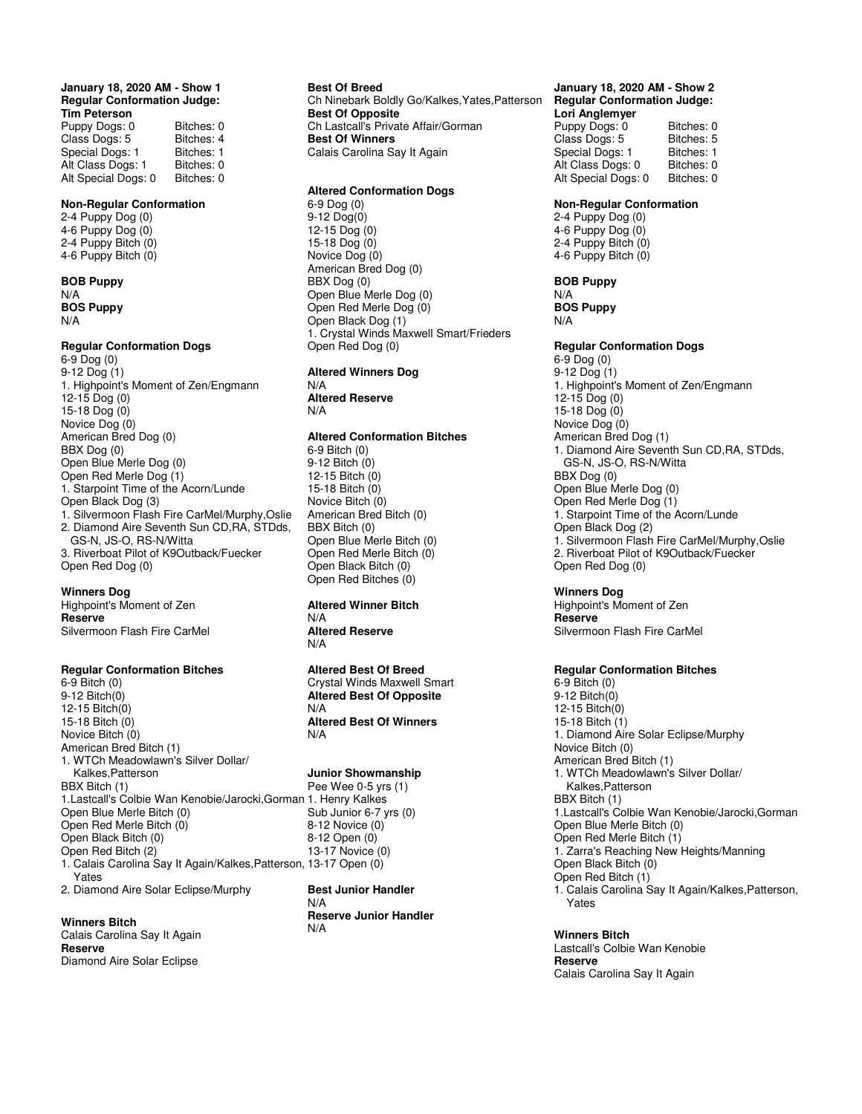### **January 18, 2020 AM - Show 1 Regular Conformation Judge: Tim Peterson**

| Bitches: 0 |
|------------|
| Bitches: 4 |
| Bitches: 1 |
| Bitches: 0 |
| Bitches: 0 |
|            |

### **Non-Regular Conformation**

2-4 Puppy Dog (0) 4-6 Puppy Dog (0) 2-4 Puppy Bitch (0) 4-6 Puppy Bitch (0)

**BOB Puppy** N/A **BOS Puppy** N/A

# **Regular Conformation Dogs**

6-9 Dog (0) 9-12 Dog (1) 1. Highpoint's Moment of Zen/Engmann 12-15 Dog (0) 15-18 Dog (0) Novice Dog (0) American Bred Dog (0) BBX Dog (0) Open Blue Merle Dog (0) Open Red Merle Dog (1) 1. Starpoint Time of the Acorn/Lunde Open Black Dog (3) 1. Silvermoon Flash Fire CarMel/Murphy,Oslie 2. Diamond Aire Seventh Sun CD,RA, STDds, GS-N, JS-O, RS-N/Witta 3. Riverboat Pilot of K9Outback/Fuecker Open Red Dog (0)

#### **Winners Dog**

Highpoint's Moment of Zen **Reserve**  Silvermoon Flash Fire CarMel

# **Regular Conformation Bitches**

6-9 Bitch (0) 9-12 Bitch(0) 12-15 Bitch(0) 15-18 Bitch (0) Novice Bitch (0) American Bred Bitch (1) 1. WTCh Meadowlawn's Silver Dollar/ Kalkes,Patterson BBX Bitch (1) 1.Lastcall's Colbie Wan Kenobie/Jarocki,Gorman 1. Henry Kalkes Open Blue Merle Bitch (0) Open Red Merle Bitch (0) Open Black Bitch (0) Open Red Bitch (2) 1. Calais Carolina Say It Again/Kalkes,Patterson, 13-17 Open (0) Yates 2. Diamond Aire Solar Eclipse/Murphy

#### **Winners Bitch**

Calais Carolina Say It Again **Reserve** Diamond Aire Solar Eclipse

## **Best Of Breed** Ch Ninebark Boldly Go/Kalkes,Yates,Patterson **Best Of Opposite** Ch Lastcall's Private Affair/Gorman **Best Of Winners** Calais Carolina Say It Again

# **Altered Conformation Dogs**

6-9 Dog (0) 9-12 Dog(0) 12-15 Dog (0) 15-18 Dog (0) Novice Dog (0) American Bred Dog (0) BBX Dog (0) Open Blue Merle Dog (0) Open Red Merle Dog (0) Open Black Dog (1) 1. Crystal Winds Maxwell Smart/Frieders Open Red Dog (0)

**Altered Winners Dog** N/A **Altered Reserve** N/A

# **Altered Conformation Bitches**

6-9 Bitch (0) 9-12 Bitch (0) 12-15 Bitch (0) 15-18 Bitch (0) Novice Bitch (0) American Bred Bitch (0) BBX Bitch (0) Open Blue Merle Bitch (0) Open Red Merle Bitch (0) Open Black Bitch (0) Open Red Bitches (0)

### **Altered Winner Bitch** N/A **Altered Reserve** N/A

**Altered Best Of Breed** Crystal Winds Maxwell Smart **Altered Best Of Opposite** N/A **Altered Best Of Winners** N/A

#### **Junior Showmanship**

Pee Wee 0-5 yrs (1) Sub Junior 6-7 yrs (0) 8-12 Novice (0) 8-12 Open (0) 13-17 Novice (0)

**Best Junior Handler** N/A **Reserve Junior Handler** N/A

## **January 18, 2020 AM - Show 2 Regular Conformation Judge: Lori Anglemyer**

Puppy Dogs: 0 Bitches: 0<br>Class Dogs: 5 Bitches: 5 Class Dogs: 5 Bitches: 5<br>Special Dogs: 1 Bitches: 1 Special Dogs: 1 Bitches: 1<br>Alt Class Dogs: 0 Bitches: 0 Alt Class Dogs: 0 Bitches: 0<br>Alt Special Dogs: 0 Bitches: 0 Alt Special Dogs: 0

### **Non-Regular Conformation**

2-4 Puppy Dog (0) 4-6 Puppy Dog (0) 2-4 Puppy Bitch (0) 4-6 Puppy Bitch (0)

## **BOB Puppy**

N/A **BOS Puppy** N/A

# **Regular Conformation Dogs**

6-9 Dog (0) 9-12 Dog (1) 1. Highpoint's Moment of Zen/Engmann 12-15 Dog (0) 15-18 Dog (0) Novice Dog (0) American Bred Dog (1) 1. Diamond Aire Seventh Sun CD,RA, STDds, GS-N, JS-O, RS-N/Witta BBX Dog (0) Open Blue Merle Dog (0) Open Red Merle Dog (1) 1. Starpoint Time of the Acorn/Lunde Open Black Dog (2) 1. Silvermoon Flash Fire CarMel/Murphy,Oslie 2. Riverboat Pilot of K9Outback/Fuecker Open Red Dog (0)

#### **Winners Dog**

Highpoint's Moment of Zen **Reserve**  Silvermoon Flash Fire CarMel

# **Regular Conformation Bitches**

6-9 Bitch (0) 9-12 Bitch(0) 12-15 Bitch(0) 15-18 Bitch (1) 1. Diamond Aire Solar Eclipse/Murphy Novice Bitch (0) American Bred Bitch (1) 1. WTCh Meadowlawn's Silver Dollar/ Kalkes,Patterson BBX Bitch (1) 1.Lastcall's Colbie Wan Kenobie/Jarocki,Gorman Open Blue Merle Bitch (0) Open Red Merle Bitch (1) 1. Zarra's Reaching New Heights/Manning Open Black Bitch (0) Open Red Bitch (1) 1. Calais Carolina Say It Again/Kalkes,Patterson, Yates

# **Winners Bitch**

Lastcall's Colbie Wan Kenobie **Reserve** Calais Carolina Say It Again